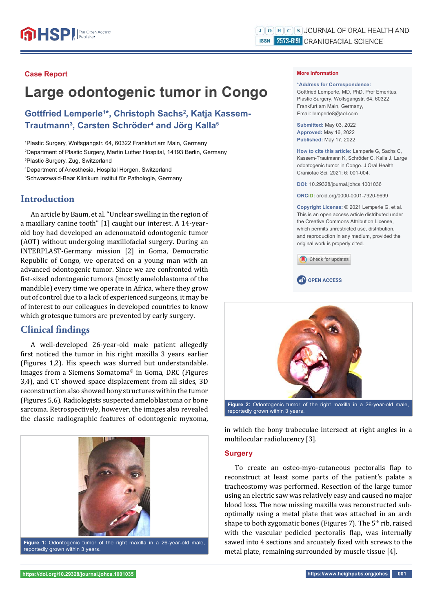## **Case Report**

# **Large odontogenic tumor in Congo**

Gottfried Lemperle<sup>1\*</sup>, Christoph Sachs<sup>2</sup>, Katja Kassem-**Trautmann3 , Carsten Schröder4 and Jörg Kalla5**

1 Plastic Surgery, Wolfsgangstr. 64, 60322 Frankfurt am Main, Germany 2 Department of Plastic Surgery, Martin Luther Hospital, 14193 Berlin, Germany 3 Plastic Surgery, Zug, Switzerland

4 Department of Anesthesia, Hospital Horgen, Switzerland 5 Schwarzwald-Baar Klinikum Institut für Pathologie, Germany

## **Introduction**

An article by Baum, et al. "Unclear swelling in the region of a maxillary canine tooth" [1] caught our interest. A 14-yearold boy had developed an adenomatoid odontogenic tumor (AOT) without undergoing maxillofacial surgery. During an INTERPLAST-Germany mission [2] in Goma, Democratic Republic of Congo, we operated on a young man with an advanced odontogenic tumor. Since we are confronted with fist-sized odontogenic tumors (mostly ameloblastoma of the mandible) every time we operate in Africa, where they grow out of control due to a lack of experienced surgeons, it may be of interest to our colleagues in developed countries to know which grotesque tumors are prevented by early surgery.

## **Clinical findings**

A well-developed 26-year-old male patient allegedly first noticed the tumor in his right maxilla 3 years earlier (Figures 1,2). His speech was slurred but understandable. Images from a Siemens Somatoma® in Goma, DRC (Figures 3,4), and CT showed space displacement from all sides, 3D reconstruction also showed bony structures within the tumor (Figures 5,6). Radiologists suspected ameloblastoma or bone sarcoma. Retrospectively, however, the images also revealed the classic radiographic features of odontogenic myxoma,



#### **More Information**

#### **\*Address for Correspondence:**

Gottfried Lemperle, MD, PhD, Prof Emeritus, Plastic Surgery, Wolfsgangstr. 64, 60322 Frankfurt am Main, Germany, Email: lemperle8@aol.com

**Submitted:** May 03, 2022 **Approved:** May 16, 2022 **Published:** May 17, 2022

**How to cite this article:** Lemperle G, Sachs C, Kassem-Trautmann K, Schröder C, Kalla J. Large odontogenic tumor in Congo. J Oral Health Craniofac Sci. 2021; 6: 001-004.

**DOI:** 10.29328/journal.johcs.1001036

**ORCiD:** orcid.org/0000-0001-7920-9699

**Copyright License: ©** 2021 Lemperle G, et al. This is an open access article distributed under the Creative Commons Attribution License, which permits unrestricted use, distribution, and reproduction in any medium, provided the original work is properly cited.







in which the bony trabeculae intersect at right angles in a multilocular radiolucency [3].

#### **Surgery**

To create an osteo-myo-cutaneous pectoralis flap to reconstruct at least some parts of the patient's palate a tracheostomy was performed. Resection of the large tumor using an electric saw was relatively easy and caused no major blood loss. The now missing maxilla was reconstructed suboptimally using a metal plate that was attached in an arch shape to both zygomatic bones (Figures 7). The  $5<sup>th</sup>$  rib, raised with the vascular pedicled pectoralis flap, was internally sawed into 4 sections and arcuately fixed with screws to the metal plate, remaining surrounded by muscle tissue [4].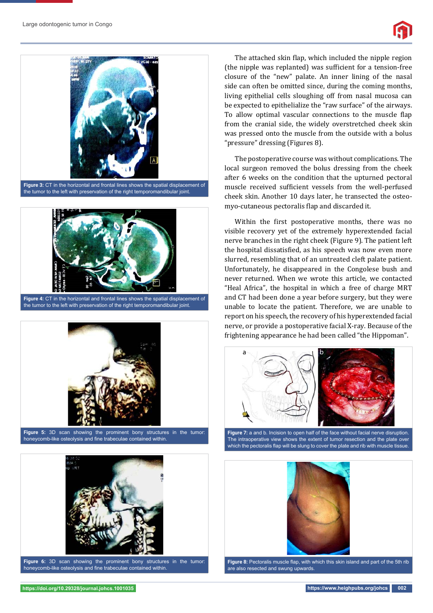

the tumor to the left with preservation of the right temporomandibular joint.



**Figure 4:** CT in the horizontal and frontal lines shows the spatial displacement of the tumor to the left with preservation of the right temporomandibular joint.



**Figure 5:** 3D scan showing the prominent bony structures in the tumor: honeycomb-like osteolysis and fine trabeculae contained within.



Figure 6: 3D scan showing the prominent bony structures in the tumor honeycomb-like osteolysis and fine trabeculae contained within.

The attached skin flap, which included the nipple region (the nipple was replanted) was sufficient for a tension-free closure of the "new" palate. An inner lining of the nasal side can often be omitted since, during the coming months, living epithelial cells sloughing off from nasal mucosa can be expected to epithelialize the "raw surface" of the airways. To allow optimal vascular connections to the muscle flap from the cranial side, the widely overstretched cheek skin was pressed onto the muscle from the outside with a bolus "pressure" dressing (Figures 8).

The postoperative course was without complications. The local surgeon removed the bolus dressing from the cheek after 6 weeks on the condition that the upturned pectoral muscle received sufficient vessels from the well-perfused cheek skin. Another 10 days later, he transected the osteomyo-cutaneous pectoralis flap and discarded it.

Within the first postoperative months, there was no visible recovery yet of the extremely hyperextended facial nerve branches in the right cheek (Figure 9). The patient left the hospital dissatisfied, as his speech was now even more slurred, resembling that of an untreated cleft palate patient. Unfortunately, he disappeared in the Congolese bush and never returned. When we wrote this article, we contacted "Heal Africa", the hospital in which a free of charge MRT and CT had been done a year before surgery, but they were unable to locate the patient. Therefore, we are unable to report on his speech, the recovery of his hyperextended facial nerve, or provide a postoperative facial X-ray. Because of the frightening appearance he had been called "the Hippoman".



**Figure 7:** a and b. Incision to open half of the face without facial nerve disruption. The intraoperative view shows the extent of tumor resection and the plate over which the pectoralis flap will be slung to cover the plate and rib with muscle tissue.



Figure 8: Pectoralis muscle flap, with which this skin island and part of the 5th rib are also resected and swung upwards.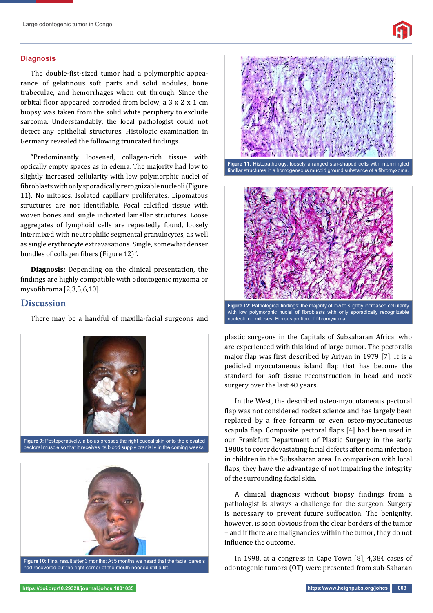### **Diagnosis**

The double-fist-sized tumor had a polymorphic appearance of gelatinous soft parts and solid nodules, bone trabeculae, and hemorrhages when cut through. Since the orbital floor appeared corroded from below, a 3 x 2 x 1 cm biopsy was taken from the solid white periphery to exclude sarcoma. Understandably, the local pathologist could not detect any epithelial structures. Histologic examination in Germany revealed the following truncated findings.

"Predominantly loosened, collagen-rich tissue with optically empty spaces as in edema. The majority had low to slightly increased cellularity with low polymorphic nuclei of fibroblasts with only sporadically recognizable nucleoli (Figure 11). No mitoses. Isolated capillary proliferates. Lipomatous structures are not identifiable. Focal calcified tissue with woven bones and single indicated lamellar structures. Loose aggregates of lymphoid cells are repeatedly found, loosely intermixed with neutrophilic segmental granulocytes, as well as single erythrocyte extravasations. Single, somewhat denser bundles of collagen fibers (Figure 12)".

**Diagnosis:** Depending on the clinical presentation, the findings are highly compatible with odontogenic myxoma or myxofibroma [2,3,5,6,10].

## **Discussion**

There may be a handful of maxilla-facial surgeons and



had recovered but the right corner of the mouth needed still a lift.





plastic surgeons in the Capitals of Subsaharan Africa, who are experienced with this kind of large tumor. The pectoralis major flap was first described by Ariyan in 1979 [7]. It is a pedicled myocutaneous island flap that has become the standard for soft tissue reconstruction in head and neck

surgery over the last 40 years.

In the West, the described osteo-myocutaneous pectoral flap was not considered rocket science and has largely been replaced by a free forearm or even osteo-myocutaneous scapula flap. Composite pectoral flaps [4] had been used in our Frankfurt Department of Plastic Surgery in the early 1980s to cover devastating facial defects after noma infection in children in the Subsaharan area. In comparison with local flaps, they have the advantage of not impairing the integrity of the surrounding facial skin.

A clinical diagnosis without biopsy findings from a pathologist is always a challenge for the surgeon. Surgery is necessary to prevent future suffocation. The benignity, however, is soon obvious from the clear borders of the tumor – and if there are malignancies within the tumor, they do not influence the outcome.

In 1998, at a congress in Cape Town [8], 4,384 cases of odontogenic tumors (OT) were presented from sub-Saharan